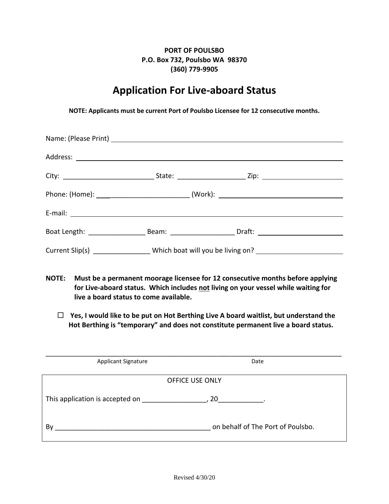## **PORT OF POULSBO P.O. Box 732, Poulsbo WA 98370 (360) 779-9905**

## **Application For Live-aboard Status**

**NOTE: Applicants must be current Port of Poulsbo Licensee for 12 consecutive months.**

|  | Boat Length: ___________________________Beam: __________________________Draft: _____________________ |
|--|------------------------------------------------------------------------------------------------------|
|  | Current Slip(s) _________________ Which boat will you be living on? ___________________              |

- **NOTE: Must be a permanent moorage licensee for 12 consecutive months before applying for Live-aboard status. Which includes not living on your vessel while waiting for live a board status to come available.**
	- **Yes, I would like to be put on Hot Berthing Live A board waitlist, but understand the Hot Berthing is "temporary" and does not constitute permanent live a board status.**

| <b>Applicant Signature</b>      | Date                              |  |
|---------------------------------|-----------------------------------|--|
|                                 | <b>OFFICE USE ONLY</b>            |  |
| This application is accepted on | 20                                |  |
| Bv                              | on behalf of The Port of Poulsbo. |  |